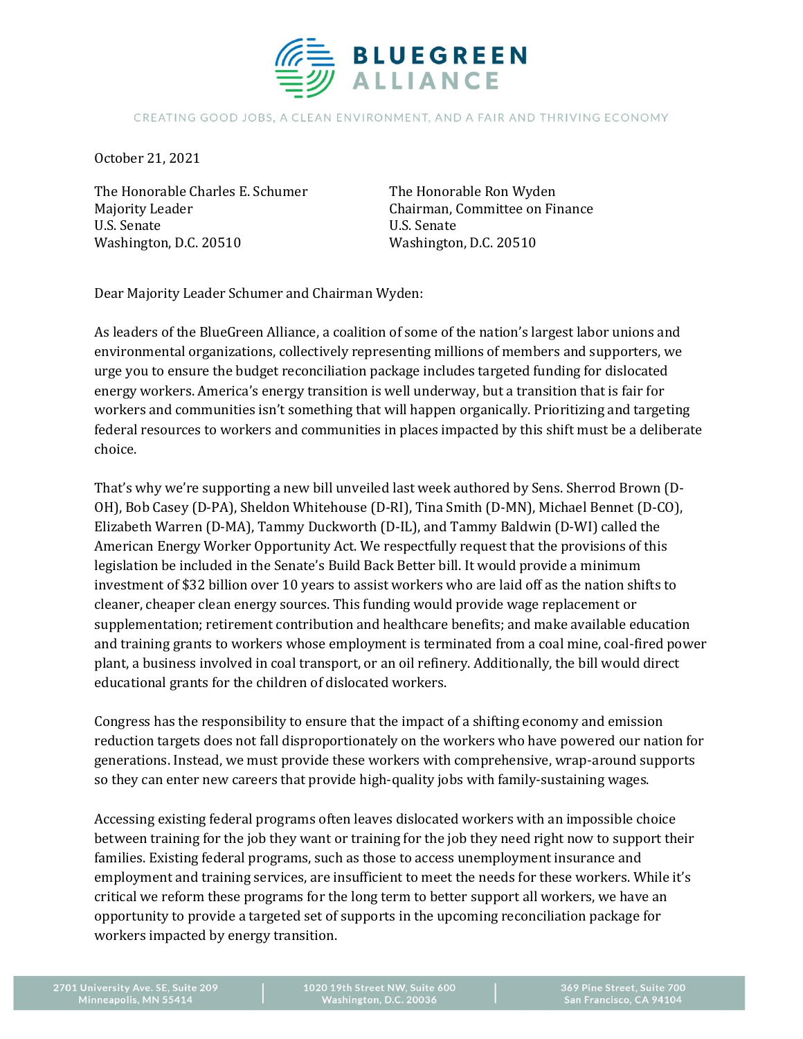

## CREATING GOOD JOBS, A CLEAN ENVIRONMENT, AND A FAIR AND THRIVING ECONOMY

October 21, 2021

The Honorable Charles E. Schumer Majority Leader U.S. Senate Washington, D.C. 20510

The Honorable Ron Wyden Chairman, Committee on Finance U.S. Senate Washington, D.C. 20510

Dear Majority Leader Schumer and Chairman Wyden:

As leaders of the BlueGreen Alliance, a coalition of some of the nation's largest labor unions and environmental organizations, collectively representing millions of members and supporters, we urge you to ensure the budget reconciliation package includes targeted funding for dislocated energy workers. America's energy transition is well underway, but a transition that is fair for workers and communities isn't something that will happen organically. Prioritizing and targeting federal resources to workers and communities in places impacted by this shift must be a deliberate choice.

That's why we're supporting a new bill unveiled last week authored by Sens. Sherrod Brown (D-OH), Bob Casey (D-PA), Sheldon Whitehouse (D-RI), Tina Smith (D-MN), Michael Bennet (D-CO), Elizabeth Warren (D-MA), Tammy Duckworth (D-IL), and Tammy Baldwin (D-WI) called the American Energy Worker Opportunity Act. We respectfully request that the provisions of this legislation be included in the Senate's Build Back Better bill. It would provide a minimum investment of \$32 billion over 10 years to assist workers who are laid off as the nation shifts to cleaner, cheaper clean energy sources. This funding would provide wage replacement or supplementation; retirement contribution and healthcare benefits; and make available education and training grants to workers whose employment is terminated from a coal mine, coal-fired power plant, a business involved in coal transport, or an oil refinery. Additionally, the bill would direct educational grants for the children of dislocated workers.

Congress has the responsibility to ensure that the impact of a shifting economy and emission reduction targets does not fall disproportionately on the workers who have powered our nation for generations. Instead, we must provide these workers with comprehensive, wrap-around supports so they can enter new careers that provide high-quality jobs with family-sustaining wages.

Accessing existing federal programs often leaves dislocated workers with an impossible choice between training for the job they want or training for the job they need right now to support their families. Existing federal programs, such as those to access unemployment insurance and employment and training services, are insufficient to meet the needs for these workers. While it's critical we reform these programs for the long term to better support all workers, we have an opportunity to provide a targeted set of supports in the upcoming reconciliation package for workers impacted by energy transition.